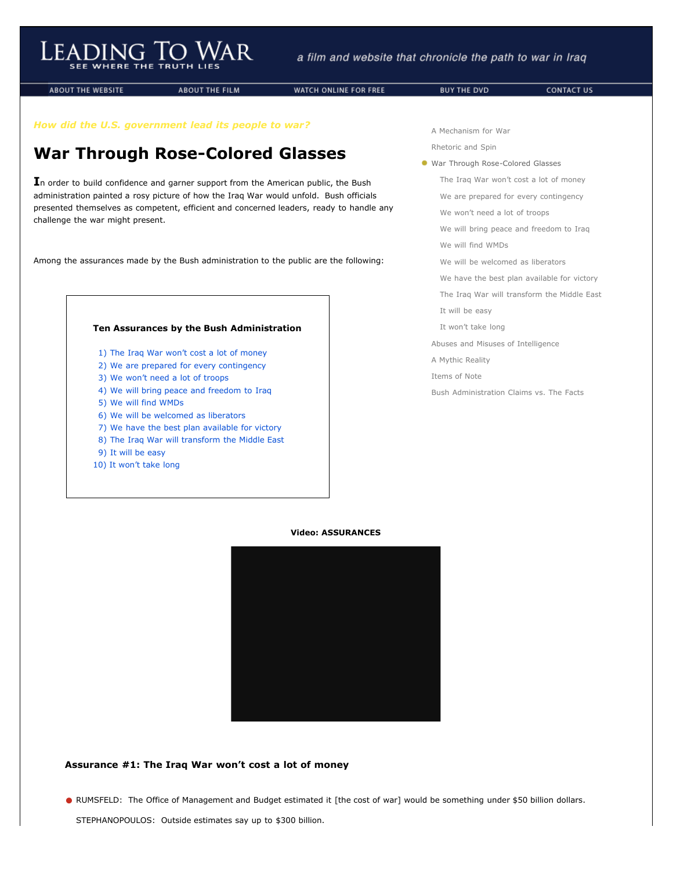**ABOUT THE WEBSITE** 

**ABOUT THE FILM** 

WATCH ONLINE FOR FREE

*How did the U.S. government lead its people to war?*

# **War Through Rose-Colored Glasses**

**I**n order to build confidence and garner support from the American public, the Bush administration painted a rosy picture of how the Iraq War would unfold. Bush officials presented themselves as competent, efficient and concerned leaders, ready to handle any challenge the war might present.

Among the assurances made by the Bush administration to the public are the following:



- [1\) The Iraq War won't cost a lot of money](http://www.leadingtowar.com/war_rosecolored.php#as1)
- [2\) We are prepared for every contingency](http://www.leadingtowar.com/war_rosecolored.php#as2)
- [3\) We won't need a lot of troops](http://www.leadingtowar.com/war_rosecolored.php#as3)
- [4\) We will bring peace and freedom to Iraq](http://www.leadingtowar.com/war_rosecolored.php#as4)
- [5\) We will find WMDs](http://www.leadingtowar.com/war_rosecolored.php#as5)
- [6\) We will be welcomed as liberators](http://www.leadingtowar.com/war_rosecolored.php#as6)
- [7\) We have the best plan available for victory](http://www.leadingtowar.com/war_rosecolored.php#as7)
- [8\) The Iraq War will transform the Middle East](http://www.leadingtowar.com/war_rosecolored.php#as8)
- [9\) It will be easy](http://www.leadingtowar.com/war_rosecolored.php#as9)
- [10\) It won't take long](http://www.leadingtowar.com/war_rosecolored.php#as10)

[A Mechanism for War](http://www.leadingtowar.com/mechanism_war.php)

[Rhetoric and Spin](http://www.leadingtowar.com/rhetoric_spin.php)

War Through Rose-Colored Glasses

[The Iraq War won't cost a lot of money](http://www.leadingtowar.com/war_rosecolored.php#as1)

[We are prepared for every contingency](http://www.leadingtowar.com/war_rosecolored.php#as2)

[We won't need a lot of troops](http://www.leadingtowar.com/war_rosecolored.php#as3)

[We will bring peace and freedom to Iraq](http://www.leadingtowar.com/war_rosecolored.php#as4)

[We will find WMDs](http://www.leadingtowar.com/war_rosecolored.php#as5)

[We will be welcomed as liberators](http://www.leadingtowar.com/war_rosecolored.php#as6)

[We have the best plan available for victory](http://www.leadingtowar.com/war_rosecolored.php#as7)

[The Iraq War will transform the Middle East](http://www.leadingtowar.com/war_rosecolored.php#as8)

- [It will be easy](http://www.leadingtowar.com/war_rosecolored.php#as9)
- [It won't take long](http://www.leadingtowar.com/war_rosecolored.php#as10)

[Abuses and Misuses of Intelligence](http://www.leadingtowar.com/abuses_misuses.php)

[A Mythic Reality](http://www.leadingtowar.com/mythic_reality.php)

[Items of Note](http://www.leadingtowar.com/items_note.php)

[Bush Administration Claims vs. The Facts](http://www.leadingtowar.com/claims_facts.php)

## **Video: ASSURANCES**



# **Assurance #1: The Iraq War won't cost a lot of money**

**•** RUMSFELD: The Office of Management and Budget estimated it [the cost of war] would be something under \$50 billion dollars.

STEPHANOPOULOS: Outside estimates say up to \$300 billion.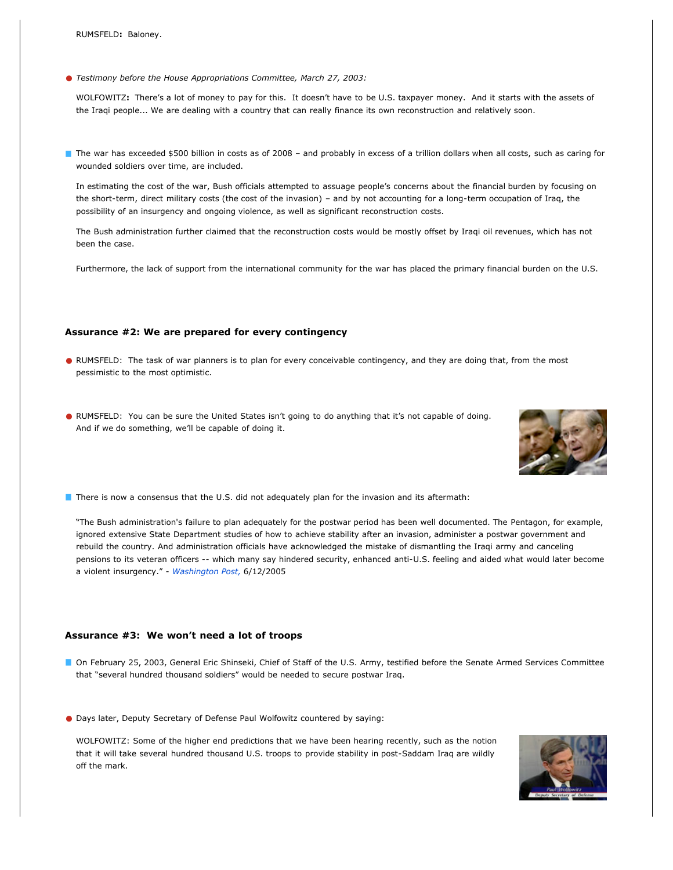**•** *Testimony before the House Appropriations Committee, March 27, 2003:*

WOLFOWITZ**:** There's a lot of money to pay for this. It doesn't have to be U.S. taxpayer money. And it starts with the assets of the Iraqi people... We are dealing with a country that can really finance its own reconstruction and relatively soon.

The war has exceeded \$500 billion in costs as of 2008 – and probably in excess of a trillion dollars when all costs, such as caring for wounded soldiers over time, are included.

In estimating the cost of the war, Bush officials attempted to assuage people's concerns about the financial burden by focusing on the short-term, direct military costs (the cost of the invasion) – and by not accounting for a long-term occupation of Iraq, the possibility of an insurgency and ongoing violence, as well as significant reconstruction costs.

The Bush administration further claimed that the reconstruction costs would be mostly offset by Iraqi oil revenues, which has not been the case.

Furthermore, the lack of support from the international community for the war has placed the primary financial burden on the U.S.

#### **Assurance #2: We are prepared for every contingency**

- **•** RUMSFELD: The task of war planners is to plan for every conceivable contingency, and they are doing that, from the most pessimistic to the most optimistic.
- **•** RUMSFELD:You can be sure the United States isn't going to do anything that it's not capable of doing. And if we do something, we'll be capable of doing it.



**There is now a consensus that the U.S. did not adequately plan for the invasion and its aftermath:** 

"The Bush administration's failure to plan adequately for the postwar period has been well documented. The Pentagon, for example, ignored extensive State Department studies of how to achieve stability after an invasion, administer a postwar government and rebuild the country. And administration officials have acknowledged the mistake of dismantling the Iraqi army and canceling pensions to its veteran officers -- which many say hindered security, enhanced anti-U.S. feeling and aided what would later become a violent insurgency." - *[Washington Post,](http://www.leadingtowar.com/PDFsources_war_rosecolored/Assurance2_1_WP.pdf)* 6/12/2005

#### **Assurance #3: We won't need a lot of troops**

- On February 25, 2003, General Eric Shinseki, Chief of Staff of the U.S. Army, testified before the Senate Armed Services Committee that "several hundred thousand soldiers" would be needed to secure postwar Iraq.
- **•** Days later, Deputy Secretary of Defense Paul Wolfowitz countered by saying:

WOLFOWITZ: Some of the higher end predictions that we have been hearing recently, such as the notion that it will take several hundred thousand U.S. troops to provide stability in post-Saddam Iraq are wildly off the mark.

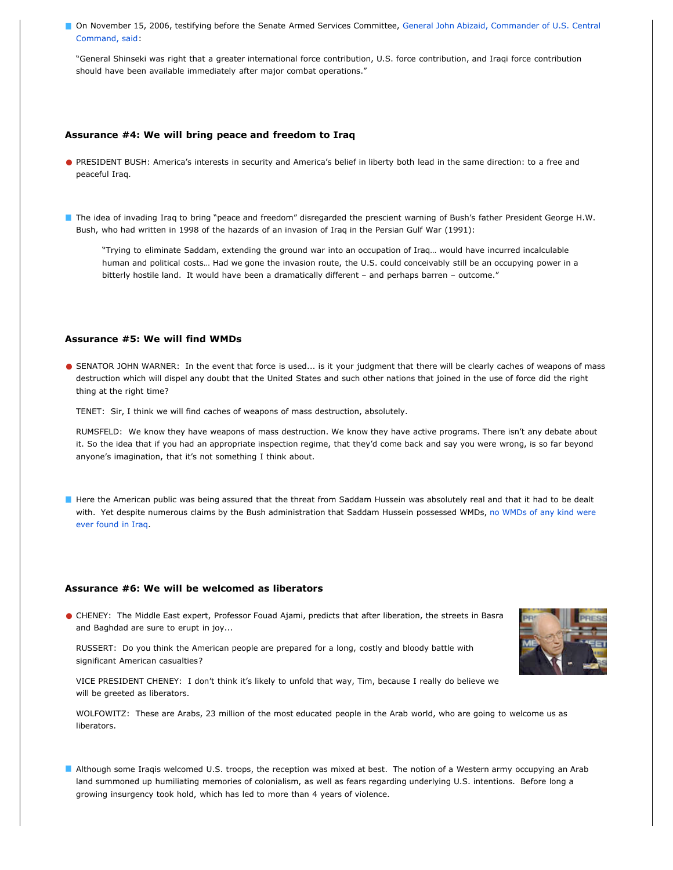[On November 15, 2006, testifying before the Senate Armed Services Committee, General John Abizaid, Commander of U.S. Central](javascript:void(0)) Command, said:

"General Shinseki was right that a greater international force contribution, U.S. force contribution, and Iraqi force contribution should have been available immediately after major combat operations."

#### **Assurance #4: We will bring peace and freedom to Iraq**

- **•** PRESIDENT BUSH: America's interests in security and America's belief in liberty both lead in the same direction: to a free and peaceful Iraq.
- The idea of invading Iraq to bring "peace and freedom" disregarded the prescient warning of Bush's father President George H.W. Bush, who had written in 1998 of the hazards of an invasion of Iraq in the Persian Gulf War (1991):

"Trying to eliminate Saddam, extending the ground war into an occupation of Iraq… would have incurred incalculable human and political costs… Had we gone the invasion route, the U.S. could conceivably still be an occupying power in a bitterly hostile land. It would have been a dramatically different – and perhaps barren – outcome."

#### **Assurance #5: We will find WMDs**

**•** SENATOR JOHN WARNER: In the event that force is used... is it your judgment that there will be clearly caches of weapons of mass destruction which will dispel any doubt that the United States and such other nations that joined in the use of force did the right thing at the right time?

TENET: Sir, I think we will find caches of weapons of mass destruction, absolutely.

RUMSFELD: We know they have weapons of mass destruction. We know they have active programs. There isn't any debate about it. So the idea that if you had an appropriate inspection regime, that they'd come back and say you were wrong, is so far beyond anyone's imagination, that it's not something I think about.

Here the American public was being assured that the threat from Saddam Hussein was absolutely real and that it had to be dealt [with. Yet despite numerous claims by the Bush administration that Saddam Hussein possessed WMDs, no WMDs of any kind were](http://www.leadingtowar.com/claims_facts_noweapons.php) ever found in Iraq.

#### **Assurance #6: We will be welcomed as liberators**

**•** CHENEY:The Middle East expert, Professor Fouad Ajami, predicts that after liberation, the streets in Basra and Baghdad are sure to erupt in joy...

RUSSERT: Do you think the American people are prepared for a long, costly and bloody battle with significant American casualties?

VICE PRESIDENT CHENEY: I don't think it's likely to unfold that way, Tim, because I really do believe we will be greeted as liberators.

WOLFOWITZ: These are Arabs, 23 million of the most educated people in the Arab world, who are going to welcome us as liberators.

Although some Iraqis welcomed U.S. troops, the reception was mixed at best. The notion of a Western army occupying an Arab land summoned up humiliating memories of colonialism, as well as fears regarding underlying U.S. intentions. Before long a growing insurgency took hold, which has led to more than 4 years of violence.

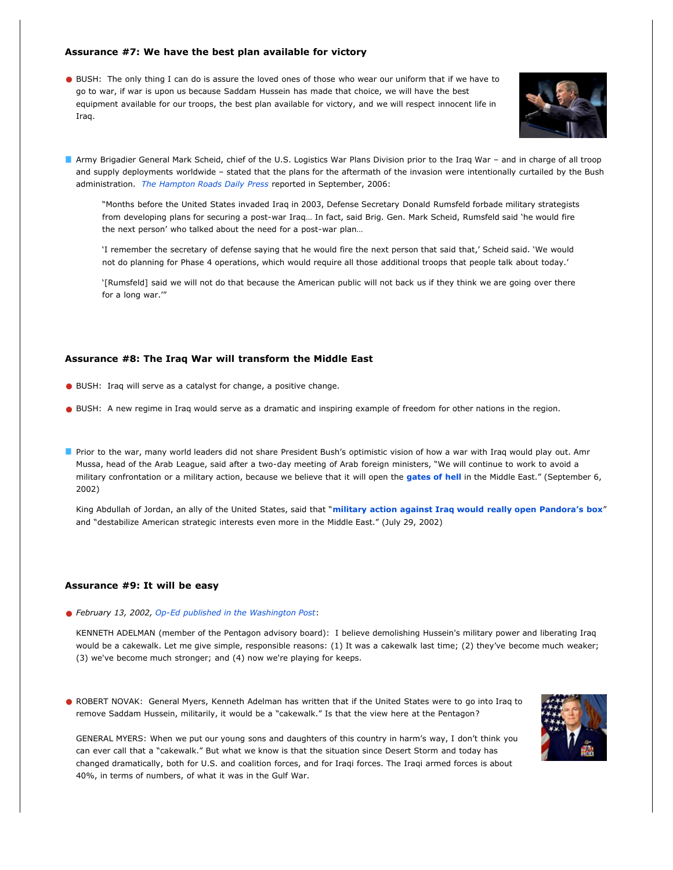#### **Assurance #7: We have the best plan available for victory**

**•** BUSH:The only thing I can do is assure the loved ones of those who wear our uniform that if we have to go to war, if war is upon us because Saddam Hussein has made that choice, we will have the best equipment available for our troops, the best plan available for victory, and we will respect innocent life in Iraq.



Army Brigadier General Mark Scheid, chief of the U.S. Logistics War Plans Division prior to the Iraq War – and in charge of all troop and supply deployments worldwide – stated that the plans for the aftermath of the invasion were intentionally curtailed by the Bush administration. *[The Hampton Roads Daily Press](http://www.leadingtowar.com/PDFsources_war_rosecolored/Assurance7_1_ICH.pdf)* reported in September, 2006:

"Months before the United States invaded Iraq in 2003, Defense Secretary Donald Rumsfeld forbade military strategists from developing plans for securing a post-war Iraq… In fact, said Brig. Gen. Mark Scheid, Rumsfeld said 'he would fire the next person' who talked about the need for a post-war plan…

'I remember the secretary of defense saying that he would fire the next person that said that,' Scheid said. 'We would not do planning for Phase 4 operations, which would require all those additional troops that people talk about today.'

'[Rumsfeld] said we will not do that because the American public will not back us if they think we are going over there for a long war.'"

#### **Assurance #8: The Iraq War will transform the Middle East**

- **•** BUSH: Iraq will serve as a catalyst for change, a positive change.
- **•** BUSH:A new regime in Iraq would serve as a dramatic and inspiring example of freedom for other nations in the region.
- Prior to the war, many world leaders did not share President Bush's optimistic vision of how a war with Iraq would play out. Amr Mussa, head of the Arab League, said after a two-day meeting of Arab foreign ministers, "We will continue to work to avoid a military confrontation or a military action, because we believe that it will open the **[gates of hell](http://www.leadingtowar.com/PDFsources_war_rosecolored/Assurance8_1_SH.pdf)** in the Middle East." (September 6, 2002)

King Abdullah of Jordan, an ally of the United States, said that "**[military action against Iraq would really open Pandora's box](http://www.leadingtowar.com/PDFsources_war_rosecolored/Assurance8_2_NYT.pdf)**" and "destabilize American strategic interests even more in the Middle East." (July 29, 2002)

### **Assurance #9: It will be easy**

**•** *February 13, 2002, [Op-Ed published in the Washington Post](javascript:void(0))*:

KENNETH ADELMAN (member of the Pentagon advisory board): I believe demolishing Hussein's military power and liberating Iraq would be a cakewalk. Let me give simple, responsible reasons: (1) It was a cakewalk last time; (2) they've become much weaker; (3) we've become much stronger; and (4) now we're playing for keeps.

**•** ROBERT NOVAK:General Myers, Kenneth Adelman has written that if the United States were to go into Iraq to remove Saddam Hussein, militarily, it would be a "cakewalk." Is that the view here at the Pentagon?



GENERAL MYERS: When we put our young sons and daughters of this country in harm's way, I don't think you can ever call that a "cakewalk." But what we know is that the situation since Desert Storm and today has changed dramatically, both for U.S. and coalition forces, and for Iraqi forces. The Iraqi armed forces is about 40%, in terms of numbers, of what it was in the Gulf War.